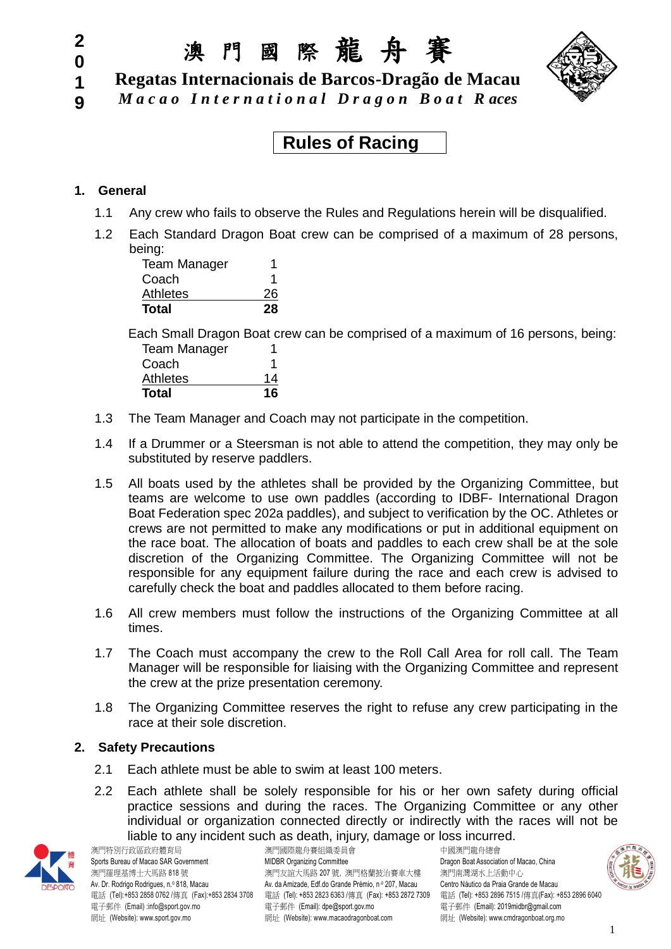### **2 0**

**1 9** 澳 門 國 際 龍 舟 賽

**Regatas Internacionais de Barcos-Dragão de Macau**

*M a c a o I n t e r n a t i o n a l D r a g o n B o a t R aces*

**Rules of Racing** 

# **1. General**

- 1.1 Any crew who fails to observe the Rules and Regulations herein will be disqualified.
- 1.2 Each Standard Dragon Boat crew can be comprised of a maximum of 28 persons, being:

| <b>Team Manager</b> |    |
|---------------------|----|
| Coach               |    |
| <b>Athletes</b>     | 26 |
| Total               | 28 |

Each Small Dragon Boat crew can be comprised of a maximum of 16 persons, being: Team Manager 1

| Total           | 16 |
|-----------------|----|
| <b>Athletes</b> | 14 |
| Coach           |    |
| ream manager    |    |

- 1.3 The Team Manager and Coach may not participate in the competition.
- 1.4 If a Drummer or a Steersman is not able to attend the competition, they may only be substituted by reserve paddlers.
- 1.5 All boats used by the athletes shall be provided by the Organizing Committee, but teams are welcome to use own paddles (according to IDBF- International Dragon Boat Federation spec 202a paddles), and subject to verification by the OC. Athletes or crews are not permitted to make any modifications or put in additional equipment on the race boat. The allocation of boats and paddles to each crew shall be at the sole discretion of the Organizing Committee. The Organizing Committee will not be responsible for any equipment failure during the race and each crew is advised to carefully check the boat and paddles allocated to them before racing.
- 1.6 All crew members must follow the instructions of the Organizing Committee at all times.
- 1.7 The Coach must accompany the crew to the Roll Call Area for roll call. The Team Manager will be responsible for liaising with the Organizing Committee and represent the crew at the prize presentation ceremony.
- 1.8 The Organizing Committee reserves the right to refuse any crew participating in the race at their sole discretion.

#### **2. Safety Precautions**

- 2.1 Each athlete must be able to swim at least 100 meters.
- 2.2 Each athlete shall be solely responsible for his or her own safety during official practice sessions and during the races. The Organizing Committee or any other individual or organization connected directly or indirectly with the races will not be liable to any incident such as death, injury, damage or loss incurred.



澳門特別行政區政府體育局 澳門國際龍舟賽組織委員會 中國澳門龍舟總會 網址 (Website): www.sport.gov.mo <br>網址 (Website): www.sport.gov.mo

Sports Bureau of Macao SAR Government MIDBR Organizing Committee Committee Dragon Boat Association of Macao, China 澳門羅理基博士大馬路 818 號 アンチャンチャン うちん いちん かいかん アップ かんこう アイト 演門南灣湖水上活動中心 Av. Dr. Rodrigo Rodrigues, n.º 818, Macau Av. da Amizade, Edf.do Grande Prémio, n.º 207, Macau Centro Náutico da Praia Grande de Macau 電話 (Tel):+853 2858 0762 /傳真 (Fax):+853 2834 3708 電話 (Tel): +853 2823 6363 /傳真 (Fax): +853 2872 7309 電話 (Tel): +853 2896 7515 /傳真(Fax): +853 2896 6040 電子郵件 (Email) :info@sport.gov.mo 電子郵件 (Email): dpe@sport.gov.mo 電子郵件 (Email): 2019midbr@gmail.com<br>網址 (Website): www.sport.gov.mo 網址 (Website): www.macaodragonboat.com 網址 (Website): www.cmdra

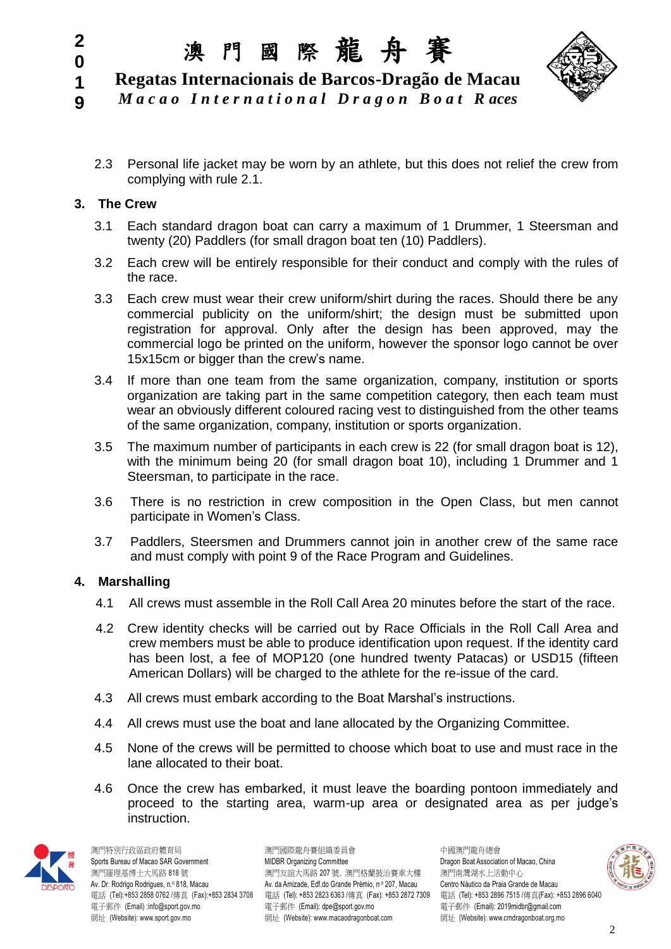

**1 Regatas Internacionais de Barcos-Dragão de Macau**

- *M a c a o I n t e r n a t i o n a l D r a g o n B o a t R aces*
- 2.3 Personal life jacket may be worn by an athlete, but this does not relief the crew from complying with rule 2.1.

# **3. The Crew**

**2 0**

**9**

- 3.1 Each standard dragon boat can carry a maximum of 1 Drummer, 1 Steersman and twenty (20) Paddlers (for small dragon boat ten (10) Paddlers).
- 3.2 Each crew will be entirely responsible for their conduct and comply with the rules of the race.
- 3.3 Each crew must wear their crew uniform/shirt during the races. Should there be any commercial publicity on the uniform/shirt; the design must be submitted upon registration for approval. Only after the design has been approved, may the commercial logo be printed on the uniform, however the sponsor logo cannot be over 15x15cm or bigger than the crew's name.
- 3.4 If more than one team from the same organization, company, institution or sports organization are taking part in the same competition category, then each team must wear an obviously different coloured racing vest to distinguished from the other teams of the same organization, company, institution or sports organization.
- 3.5 The maximum number of participants in each crew is 22 (for small dragon boat is 12), with the minimum being 20 (for small dragon boat 10), including 1 Drummer and 1 Steersman, to participate in the race.
- 3.6 There is no restriction in crew composition in the Open Class, but men cannot participate in Women's Class.
- 3.7 Paddlers, Steersmen and Drummers cannot join in another crew of the same race and must comply with point 9 of the Race Program and Guidelines.

# **4. Marshalling**

- 4.1 All crews must assemble in the Roll Call Area 20 minutes before the start of the race.
- 4.2 Crew identity checks will be carried out by Race Officials in the Roll Call Area and crew members must be able to produce identification upon request. If the identity card has been lost, a fee of MOP120 (one hundred twenty Patacas) or USD15 (fifteen American Dollars) will be charged to the athlete for the re-issue of the card.
- 4.3 All crews must embark according to the Boat Marshal's instructions.
- 4.4 All crews must use the boat and lane allocated by the Organizing Committee.
- 4.5 None of the crews will be permitted to choose which boat to use and must race in the lane allocated to their boat.
- 4.6 Once the crew has embarked, it must leave the boarding pontoon immediately and proceed to the starting area, warm-up area or designated area as per judge's instruction.



澳門特別行政區政府體育局 澳門國際龍舟賽組織委員會 中國澳門龍舟總會

Sports Bureau of Macao SAR Government MIDBR Organizing Committee Committee Dragon Boat Association of Macao, China 澳門羅理基博士大馬路 818 號 アンチャンチャン うちん いちん かいかん アップ かんこう アイト 演門南灣湖水上活動中心 Av. Dr. Rodrigo Rodrigues, n.º 818, Macau Av. da Amizade, Edf.do Grande Prémio, n.º 207, Macau Centro Náutico da Praia Grande de Macau 電話 (Tel):+853 2858 0762 /傳真 (Fax):+853 2834 3708 電話 (Tel): +853 2823 6363 /傳真 (Fax): +853 2872 7309 電話 (Tel): +853 2896 7515 /傳真(Fax): +853 2896 6040 電子郵件 (Email) :info@sport.gov.mo 電子郵件 (Email): dpe@sport.gov.mo 電子郵件 (Email): 2019midbr@gmail.com 網址 (Website): www.sport.gov.mo 網址 (Website): www.macaodragonboat.com 網址 (Website): www.cmdragonboat.org.mo

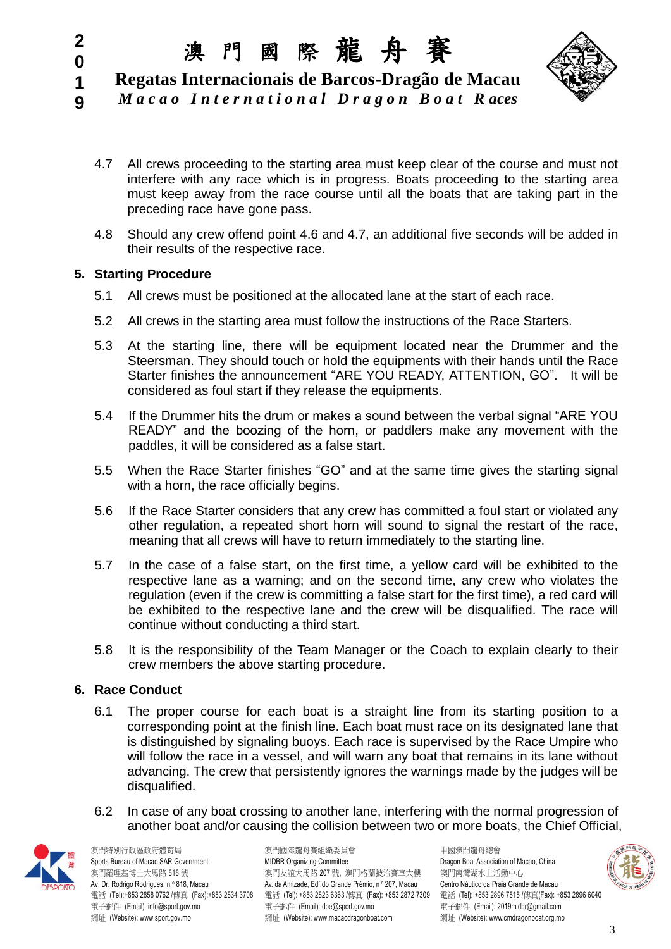

**1 Regatas Internacionais de Barcos-Dragão de Macau** *M a c a o I n t e r n a t i o n a l D r a g o n B o a t R aces*

- 4.7 All crews proceeding to the starting area must keep clear of the course and must not interfere with any race which is in progress. Boats proceeding to the starting area must keep away from the race course until all the boats that are taking part in the
- 4.8 Should any crew offend point 4.6 and 4.7, an additional five seconds will be added in their results of the respective race.

#### **5. Starting Procedure**

preceding race have gone pass.

**2 0**

**9**

- 5.1 All crews must be positioned at the allocated lane at the start of each race.
- 5.2 All crews in the starting area must follow the instructions of the Race Starters.
- 5.3 At the starting line, there will be equipment located near the Drummer and the Steersman. They should touch or hold the equipments with their hands until the Race Starter finishes the announcement "ARE YOU READY, ATTENTION, GO". It will be considered as foul start if they release the equipments.
- 5.4 If the Drummer hits the drum or makes a sound between the verbal signal "ARE YOU READY" and the boozing of the horn, or paddlers make any movement with the paddles, it will be considered as a false start.
- 5.5 When the Race Starter finishes "GO" and at the same time gives the starting signal with a horn, the race officially begins.
- 5.6 If the Race Starter considers that any crew has committed a foul start or violated any other regulation, a repeated short horn will sound to signal the restart of the race, meaning that all crews will have to return immediately to the starting line.
- 5.7 In the case of a false start, on the first time, a yellow card will be exhibited to the respective lane as a warning; and on the second time, any crew who violates the regulation (even if the crew is committing a false start for the first time), a red card will be exhibited to the respective lane and the crew will be disqualified. The race will continue without conducting a third start.
- 5.8 It is the responsibility of the Team Manager or the Coach to explain clearly to their crew members the above starting procedure.

# **6. Race Conduct**

- 6.1 The proper course for each boat is a straight line from its starting position to a corresponding point at the finish line. Each boat must race on its designated lane that is distinguished by signaling buoys. Each race is supervised by the Race Umpire who will follow the race in a vessel, and will warn any boat that remains in its lane without advancing. The crew that persistently ignores the warnings made by the judges will be disqualified.
- 6.2 In case of any boat crossing to another lane, interfering with the normal progression of another boat and/or causing the collision between two or more boats, the Chief Official,



澳門特別行政區政府體育局 澳門國際龍舟賽組織委員會 中國澳門龍舟總會 網址 (Website): www.sport.gov.mo <br>網址 (Website): www.sport.gov.mo

Sports Bureau of Macao SAR Government MIDBR Organizing Committee Committee Dragon Boat Association of Macao, China 澳門羅理基博士大馬路 818 號 アンチャンチャン アンダンス アメリカ アメリカ アンダル アンダン アンダン アンダン アンダル うまいち 海門南灣湖水上活動中心 Av. Dr. Rodrigo Rodrigues, n.º 818, Macau Av. da Amizade, Edf.do Grande Prémio, n.º 207, Macau Centro Náutico da Praia Grande de Macau 電話 (Tel):+853 2858 0762 /傳真 (Fax):+853 2834 3708 電話 (Tel): +853 2823 6363 /傳真 (Fax): +853 2872 7309 電話 (Tel): +853 2896 7515 /傳真(Fax): +853 2896 6040 電子郵件 (Email) :info@sport.gov.mo 電子郵件 (Email): dpe@sport.gov.mo 電子郵件 (Email): 2019midbr@gmail.com<br>網址 (Website): www.sport.gov.mo 網址 (Website): www.macaodragonboat.com 網址 (Website): www.cmdra

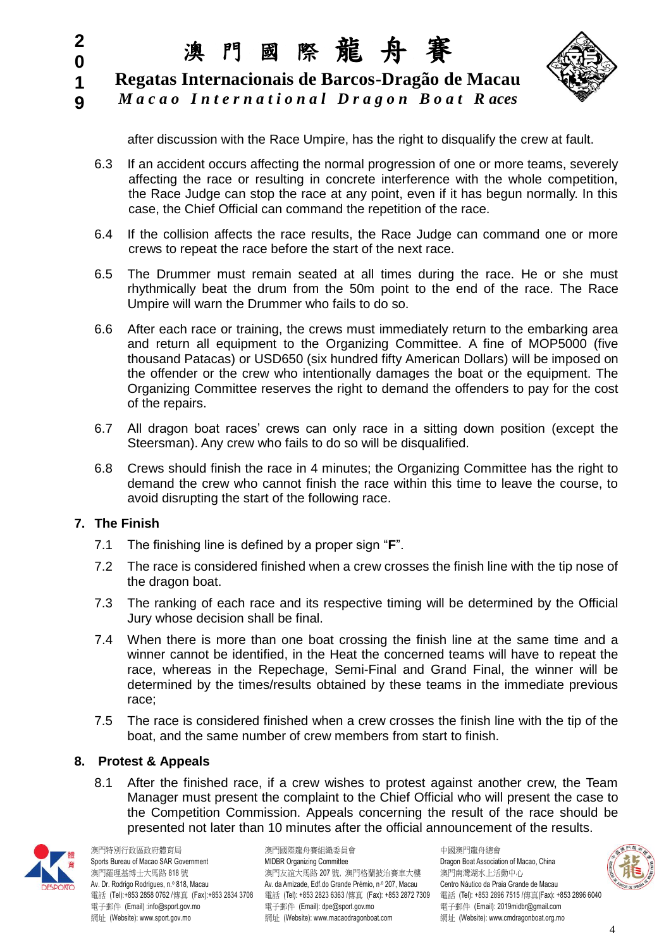**1 Regatas Internacionais de Barcos-Dragão de Macau**





after discussion with the Race Umpire, has the right to disqualify the crew at fault.

- 6.3 If an accident occurs affecting the normal progression of one or more teams, severely affecting the race or resulting in concrete interference with the whole competition, the Race Judge can stop the race at any point, even if it has begun normally. In this case, the Chief Official can command the repetition of the race.
- 6.4 If the collision affects the race results, the Race Judge can command one or more crews to repeat the race before the start of the next race.
- 6.5 The Drummer must remain seated at all times during the race. He or she must rhythmically beat the drum from the 50m point to the end of the race. The Race Umpire will warn the Drummer who fails to do so.
- 6.6 After each race or training, the crews must immediately return to the embarking area and return all equipment to the Organizing Committee. A fine of MOP5000 (five thousand Patacas) or USD650 (six hundred fifty American Dollars) will be imposed on the offender or the crew who intentionally damages the boat or the equipment. The Organizing Committee reserves the right to demand the offenders to pay for the cost of the repairs.
- 6.7 All dragon boat races' crews can only race in a sitting down position (except the Steersman). Any crew who fails to do so will be disqualified.
- 6.8 Crews should finish the race in 4 minutes; the Organizing Committee has the right to demand the crew who cannot finish the race within this time to leave the course, to avoid disrupting the start of the following race.

# **7. The Finish**

**2 0**

- 7.1 The finishing line is defined by a proper sign "**F**".
- 7.2 The race is considered finished when a crew crosses the finish line with the tip nose of the dragon boat.
- 7.3 The ranking of each race and its respective timing will be determined by the Official Jury whose decision shall be final.
- 7.4 When there is more than one boat crossing the finish line at the same time and a winner cannot be identified, in the Heat the concerned teams will have to repeat the race, whereas in the Repechage, Semi-Final and Grand Final, the winner will be determined by the times/results obtained by these teams in the immediate previous race;
- 7.5 The race is considered finished when a crew crosses the finish line with the tip of the boat, and the same number of crew members from start to finish.

#### **8. Protest & Appeals**

8.1 After the finished race, if a crew wishes to protest against another crew, the Team Manager must present the complaint to the Chief Official who will present the case to the Competition Commission. Appeals concerning the result of the race should be presented not later than 10 minutes after the official announcement of the results.



澳門特別行政區政府體育局 澳門國際龍舟賽組織委員會 中國澳門龍舟總會 網址 (Website): www.sport.gov.mo <br>網址 (Website): www.sport.gov.mo

Sports Bureau of Macao SAR Government **MIDBR Organizing Committee** Dragon Boat Association of Macao, China 澳門羅理基博士大馬路 818 號 アンチャンチャン うちん いちん かいかん アップ かんこう アイト 演門南灣湖水上活動中心 Av. Dr. Rodrigo Rodrigues, n.º 818, Macau Av. da Amizade, Edf.do Grande Prémio, n.º 207, Macau Centro Náutico da Praia Grande de Macau 電話 (Tel):+853 2858 0762 /傳真 (Fax):+853 2834 3708 電話 (Tel): +853 2823 6363 /傳真 (Fax): +853 2872 7309 電話 (Tel): +853 2896 7515 /傳真(Fax): +853 2896 6040 電子郵件 (Email) :info@sport.gov.mo 電子郵件 (Email): dpe@sport.gov.mo 電子郵件 (Email): 2019midbr@gmail.com<br>網址 (Website): www.sport.gov.mo 網址 (Website): www.macaodragonboat.com 網址 (Website): www.cmdra

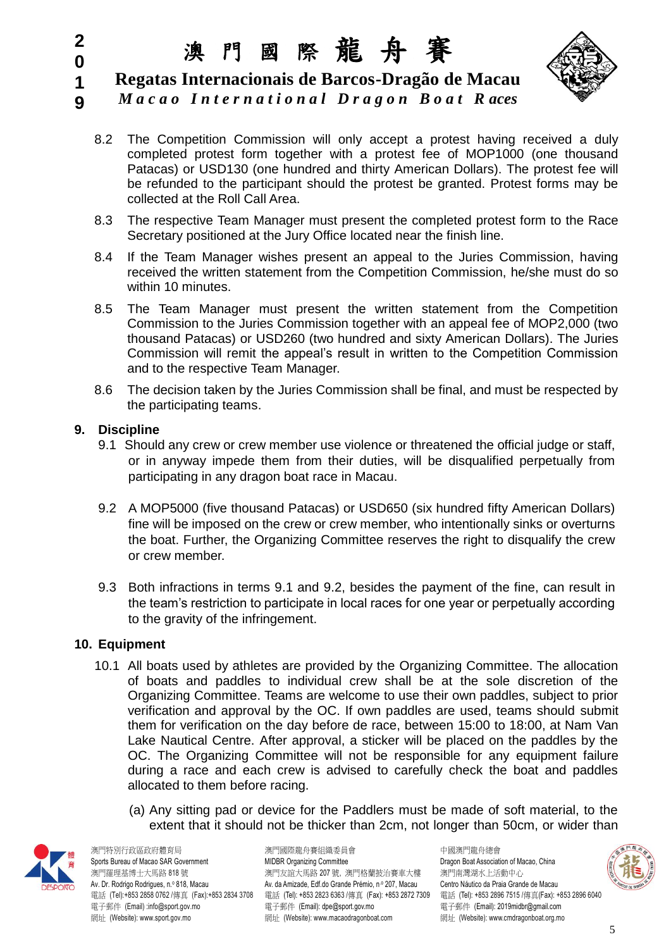

**1 Regatas Internacionais de Barcos-Dragão de Macau**

- **9** *M a c a o I n t e r n a t i o n a l D r a g o n B o a t R aces*
	- 8.2 The Competition Commission will only accept a protest having received a duly completed protest form together with a protest fee of MOP1000 (one thousand Patacas) or USD130 (one hundred and thirty American Dollars). The protest fee will be refunded to the participant should the protest be granted. Protest forms may be collected at the Roll Call Area.
	- 8.3 The respective Team Manager must present the completed protest form to the Race Secretary positioned at the Jury Office located near the finish line.
	- 8.4 If the Team Manager wishes present an appeal to the Juries Commission, having received the written statement from the Competition Commission, he/she must do so within 10 minutes.
	- 8.5 The Team Manager must present the written statement from the Competition Commission to the Juries Commission together with an appeal fee of MOP2,000 (two thousand Patacas) or USD260 (two hundred and sixty American Dollars). The Juries Commission will remit the appeal's result in written to the Competition Commission and to the respective Team Manager.
	- 8.6 The decision taken by the Juries Commission shall be final, and must be respected by the participating teams.

#### **9. Discipline**

**2 0**

- 9.1 Should any crew or crew member use violence or threatened the official judge or staff, or in anyway impede them from their duties, will be disqualified perpetually from participating in any dragon boat race in Macau.
- 9.2 A MOP5000 (five thousand Patacas) or USD650 (six hundred fifty American Dollars) fine will be imposed on the crew or crew member, who intentionally sinks or overturns the boat. Further, the Organizing Committee reserves the right to disqualify the crew or crew member.
- 9.3 Both infractions in terms 9.1 and 9.2, besides the payment of the fine, can result in the team's restriction to participate in local races for one year or perpetually according to the gravity of the infringement.

#### **10. Equipment**

- 10.1 All boats used by athletes are provided by the Organizing Committee. The allocation of boats and paddles to individual crew shall be at the sole discretion of the Organizing Committee. Teams are welcome to use their own paddles, subject to prior verification and approval by the OC. If own paddles are used, teams should submit them for verification on the day before de race, between 15:00 to 18:00, at Nam Van Lake Nautical Centre. After approval, a sticker will be placed on the paddles by the OC. The Organizing Committee will not be responsible for any equipment failure during a race and each crew is advised to carefully check the boat and paddles allocated to them before racing.
	- (a) Any sitting pad or device for the Paddlers must be made of soft material, to the extent that it should not be thicker than 2cm, not longer than 50cm, or wider than



澳門特別行政區政府體育局 澳門國際龍舟賽組織委員會 中國澳門龍舟總會 網址 (Website): www.sport.gov.mo <br>網址 (Website): www.sport.gov.mo

Sports Bureau of Macao SAR Government MIDBR Organizing Committee Dragon Boat Association of Macao, China 澳門羅理基博士大馬路 818 號 アンチャンチャン うちん いちん かいかん アップ かんこう アイト 演門南灣湖水上活動中心 Av. Dr. Rodrigo Rodrigues, n.º 818, Macau Av. da Amizade, Edf.do Grande Prémio, n.º 207, Macau Centro Náutico da Praia Grande de Macau 電話 (Tel):+853 2858 0762 /傳真 (Fax):+853 2834 3708 電話 (Tel): +853 2823 6363 /傳真 (Fax): +853 2872 7309 電話 (Tel): +853 2896 7515 /傳真(Fax): +853 2896 6040 電子郵件 (Email) :info@sport.gov.mo 電子郵件 (Email): dpe@sport.gov.mo 電子郵件 (Email): 2019midbr@gmail.com<br>網址 (Website): www.sport.gov.mo 網址 (Website): www.macaodragonboat.com 網址 (Website): www.cmdra